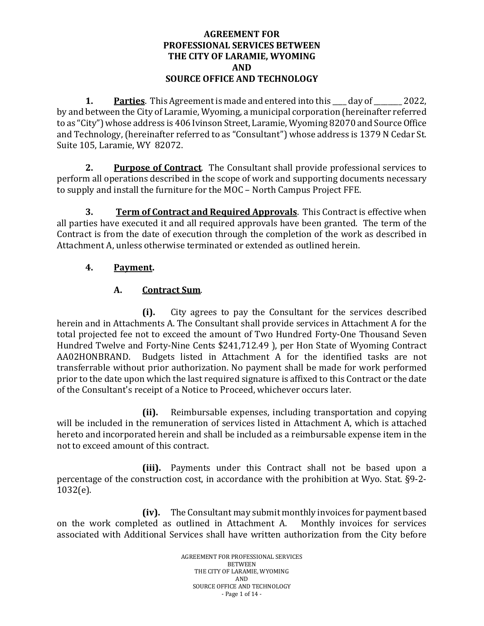#### **AGREEMENT FOR PROFESSIONAL SERVICES BETWEEN THE CITY OF LARAMIE, WYOMING AND SOURCE OFFICE AND TECHNOLOGY**

**1.** Parties. This Agreement is made and entered into this day of 2022, by and between the City of Laramie, Wyoming, a municipal corporation (hereinafter referred to as "City") whose address is 406 Ivinson Street, Laramie, Wyoming 82070 and Source Office and Technology, (hereinafter referred to as "Consultant") whose address is 1379 N Cedar St. Suite 105, Laramie, WY 82072.

**2. Purpose of Contract**. The Consultant shall provide professional services to perform all operations described in the scope of work and supporting documents necessary to supply and install the furniture for the MOC – North Campus Project FFE.

**3. Term of Contract and Required Approvals**. This Contract is effective when all parties have executed it and all required approvals have been granted. The term of the Contract is from the date of execution through the completion of the work as described in Attachment A, unless otherwise terminated or extended as outlined herein.

## **4. Payment.**

## **A. Contract Sum**.

 **(i).** City agrees to pay the Consultant for the services described herein and in Attachments A. The Consultant shall provide services in Attachment A for the total projected fee not to exceed the amount of Two Hundred Forty-One Thousand Seven Hundred Twelve and Forty-Nine Cents \$241,712.49 ), per Hon State of Wyoming Contract AA02HONBRAND. Budgets listed in Attachment A for the identified tasks are not transferrable without prior authorization. No payment shall be made for work performed prior to the date upon which the last required signature is affixed to this Contract or the date of the Consultant's receipt of a Notice to Proceed, whichever occurs later.

**(ii).** Reimbursable expenses, including transportation and copying will be included in the remuneration of services listed in Attachment A, which is attached hereto and incorporated herein and shall be included as a reimbursable expense item in the not to exceed amount of this contract.

**(iii).** Payments under this Contract shall not be based upon a percentage of the construction cost, in accordance with the prohibition at Wyo. Stat. §9-2- 1032(e).

**(iv).** The Consultant may submit monthly invoices for payment based on the work completed as outlined in Attachment A. associated with Additional Services shall have written authorization from the City before

> AGREEMENT FOR PROFESSIONAL SERVICES **BETWEEN** THE CITY OF LARAMIE, WYOMING AND SOURCE OFFICE AND TECHNOLOGY - Page 1 of 14 -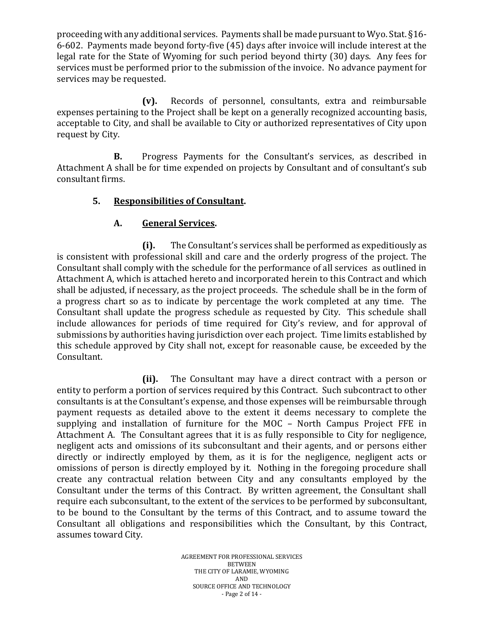proceeding with any additional services. Payments shall be made pursuant to Wyo. Stat. §16- 6-602. Payments made beyond forty-five (45) days after invoice will include interest at the legal rate for the State of Wyoming for such period beyond thirty (30) days. Any fees for services must be performed prior to the submission of the invoice. No advance payment for services may be requested.

**(v).** Records of personnel, consultants, extra and reimbursable expenses pertaining to the Project shall be kept on a generally recognized accounting basis, acceptable to City, and shall be available to City or authorized representatives of City upon request by City.

**B.** Progress Payments for the Consultant's services, as described in Attachment A shall be for time expended on projects by Consultant and of consultant's sub consultant firms.

## **5. Responsibilities of Consultant.**

#### **A. General Services.**

**(i).** The Consultant's services shall be performed as expeditiously as is consistent with professional skill and care and the orderly progress of the project. The Consultant shall comply with the schedule for the performance of all services as outlined in Attachment A, which is attached hereto and incorporated herein to this Contract and which shall be adjusted, if necessary, as the project proceeds. The schedule shall be in the form of a progress chart so as to indicate by percentage the work completed at any time. The Consultant shall update the progress schedule as requested by City. This schedule shall include allowances for periods of time required for City's review, and for approval of submissions by authorities having jurisdiction over each project. Time limits established by this schedule approved by City shall not, except for reasonable cause, be exceeded by the Consultant.

**(ii).** The Consultant may have a direct contract with a person or entity to perform a portion of services required by this Contract. Such subcontract to other consultants is at the Consultant's expense, and those expenses will be reimbursable through payment requests as detailed above to the extent it deems necessary to complete the supplying and installation of furniture for the MOC – North Campus Project FFE in Attachment A. The Consultant agrees that it is as fully responsible to City for negligence, negligent acts and omissions of its subconsultant and their agents, and or persons either directly or indirectly employed by them, as it is for the negligence, negligent acts or omissions of person is directly employed by it. Nothing in the foregoing procedure shall create any contractual relation between City and any consultants employed by the Consultant under the terms of this Contract. By written agreement, the Consultant shall require each subconsultant, to the extent of the services to be performed by subconsultant, to be bound to the Consultant by the terms of this Contract, and to assume toward the Consultant all obligations and responsibilities which the Consultant, by this Contract, assumes toward City.

> AGREEMENT FOR PROFESSIONAL SERVICES BETWEEN THE CITY OF LARAMIE, WYOMING AND SOURCE OFFICE AND TECHNOLOGY - Page 2 of 14 -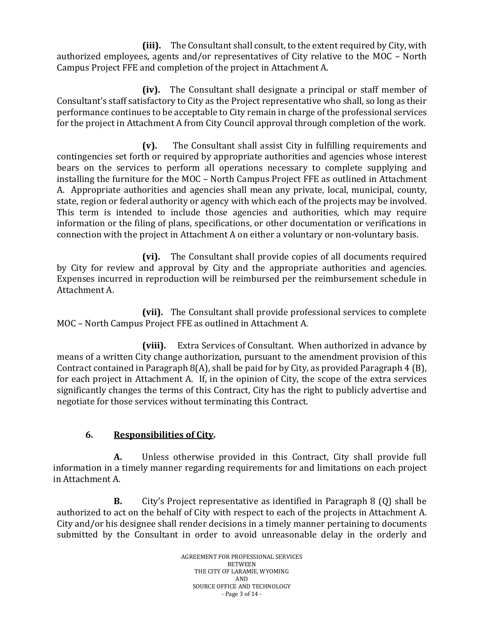**(iii).** The Consultant shall consult, to the extent required by City, with authorized employees, agents and/or representatives of City relative to the MOC – North Campus Project FFE and completion of the project in Attachment A.

 **(iv).** The Consultant shall designate a principal or staff member of Consultant's staff satisfactory to City as the Project representative who shall, so long as their performance continues to be acceptable to City remain in charge of the professional services for the project in Attachment A from City Council approval through completion of the work.

**(v).** The Consultant shall assist City in fulfilling requirements and contingencies set forth or required by appropriate authorities and agencies whose interest bears on the services to perform all operations necessary to complete supplying and installing the furniture for the MOC – North Campus Project FFE as outlined in Attachment A. Appropriate authorities and agencies shall mean any private, local, municipal, county, state, region or federal authority or agency with which each of the projects may be involved. This term is intended to include those agencies and authorities, which may require information or the filing of plans, specifications, or other documentation or verifications in connection with the project in Attachment A on either a voluntary or non-voluntary basis.

**(vi).** The Consultant shall provide copies of all documents required by City for review and approval by City and the appropriate authorities and agencies. Expenses incurred in reproduction will be reimbursed per the reimbursement schedule in Attachment A.

**(vii).** The Consultant shall provide professional services to complete MOC – North Campus Project FFE as outlined in Attachment A.

**(viii).** Extra Services of Consultant. When authorized in advance by means of a written City change authorization, pursuant to the amendment provision of this Contract contained in Paragraph 8(A), shall be paid for by City, as provided Paragraph 4 (B), for each project in Attachment A. If, in the opinion of City, the scope of the extra services significantly changes the terms of this Contract, City has the right to publicly advertise and negotiate for those services without terminating this Contract.

# **6. Responsibilities of City.**

**A.** Unless otherwise provided in this Contract, City shall provide full information in a timely manner regarding requirements for and limitations on each project in Attachment A.

**B.** City's Project representative as identified in Paragraph 8 (Q) shall be authorized to act on the behalf of City with respect to each of the projects in Attachment A. City and/or his designee shall render decisions in a timely manner pertaining to documents submitted by the Consultant in order to avoid unreasonable delay in the orderly and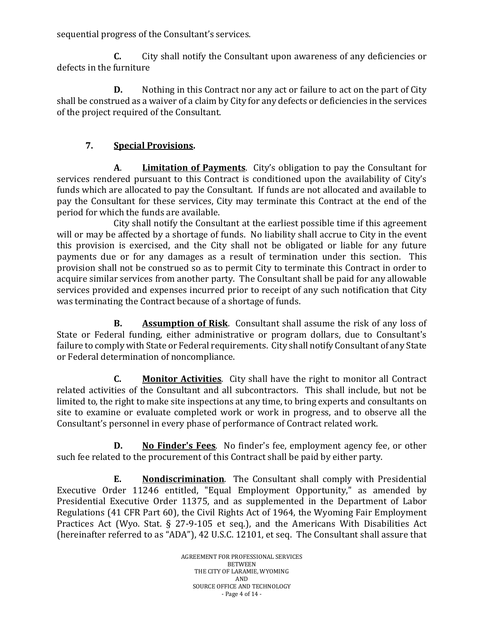sequential progress of the Consultant's services.

**C.** City shall notify the Consultant upon awareness of any deficiencies or defects in the furniture

**D.** Nothing in this Contract nor any act or failure to act on the part of City shall be construed as a waiver of a claim by City for any defects or deficiencies in the services of the project required of the Consultant.

## **7. Special Provisions.**

**A**. **Limitation of Payments**. City's obligation to pay the Consultant for services rendered pursuant to this Contract is conditioned upon the availability of City's funds which are allocated to pay the Consultant. If funds are not allocated and available to pay the Consultant for these services, City may terminate this Contract at the end of the period for which the funds are available.

City shall notify the Consultant at the earliest possible time if this agreement will or may be affected by a shortage of funds. No liability shall accrue to City in the event this provision is exercised, and the City shall not be obligated or liable for any future payments due or for any damages as a result of termination under this section. This provision shall not be construed so as to permit City to terminate this Contract in order to acquire similar services from another party. The Consultant shall be paid for any allowable services provided and expenses incurred prior to receipt of any such notification that City was terminating the Contract because of a shortage of funds.

**B. Assumption of Risk**. Consultant shall assume the risk of any loss of State or Federal funding, either administrative or program dollars, due to Consultant's failure to comply with State or Federal requirements. City shall notify Consultant of any State or Federal determination of noncompliance.

**C. Monitor Activities**. City shall have the right to monitor all Contract related activities of the Consultant and all subcontractors. This shall include, but not be limited to, the right to make site inspections at any time, to bring experts and consultants on site to examine or evaluate completed work or work in progress, and to observe all the Consultant's personnel in every phase of performance of Contract related work.

**D. No Finder's Fees**. No finder's fee, employment agency fee, or other such fee related to the procurement of this Contract shall be paid by either party.

**E. Nondiscrimination**. The Consultant shall comply with Presidential Executive Order 11246 entitled, "Equal Employment Opportunity," as amended by Presidential Executive Order 11375, and as supplemented in the Department of Labor Regulations (41 CFR Part 60), the Civil Rights Act of 1964, the Wyoming Fair Employment Practices Act (Wyo. Stat. § 27-9-105 et seq.), and the Americans With Disabilities Act (hereinafter referred to as "ADA"), 42 U.S.C. 12101, et seq. The Consultant shall assure that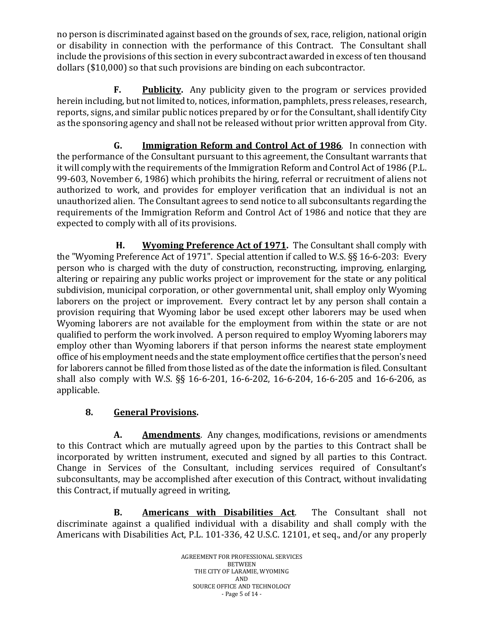no person is discriminated against based on the grounds of sex, race, religion, national origin or disability in connection with the performance of this Contract. The Consultant shall include the provisions of this section in every subcontract awarded in excess of ten thousand dollars (\$10,000) so that such provisions are binding on each subcontractor.

**F. Publicity.** Any publicity given to the program or services provided herein including, but not limited to, notices, information, pamphlets, press releases, research, reports, signs, and similar public notices prepared by or for the Consultant, shall identify City as the sponsoring agency and shall not be released without prior written approval from City.

**G. Immigration Reform and Control Act of 1986**. In connection with the performance of the Consultant pursuant to this agreement, the Consultant warrants that it will comply with the requirements of the Immigration Reform and Control Act of 1986 (P.L. 99-603, November 6, 1986) which prohibits the hiring, referral or recruitment of aliens not authorized to work, and provides for employer verification that an individual is not an unauthorized alien. The Consultant agrees to send notice to all subconsultants regarding the requirements of the Immigration Reform and Control Act of 1986 and notice that they are expected to comply with all of its provisions.

**H. Wyoming Preference Act of 1971.** The Consultant shall comply with the "Wyoming Preference Act of 1971". Special attention if called to W.S. §§ 16-6-203:Every person who is charged with the duty of construction, reconstructing, improving, enlarging, altering or repairing any public works project or improvement for the state or any political subdivision, municipal corporation, or other governmental unit, shall employ only Wyoming laborers on the project or improvement. Every contract let by any person shall contain a provision requiring that Wyoming labor be used except other laborers may be used when Wyoming laborers are not available for the employment from within the state or are not qualified to perform the work involved. A person required to employ Wyoming laborers may employ other than Wyoming laborers if that person informs the nearest state employment office of his employment needs and the state employment office certifies that the person's need for laborers cannot be filled from those listed as of the date the information is filed. Consultant shall also comply with W.S. §§ 16-6-201, 16-6-202, 16-6-204, 16-6-205 and 16-6-206, as applicable.

# **8. General Provisions.**

**A. Amendments**. Any changes, modifications, revisions or amendments to this Contract which are mutually agreed upon by the parties to this Contract shall be incorporated by written instrument, executed and signed by all parties to this Contract. Change in Services of the Consultant, including services required of Consultant's subconsultants, may be accomplished after execution of this Contract, without invalidating this Contract, if mutually agreed in writing,

**B. Americans with Disabilities Act**. The Consultant shall not discriminate against a qualified individual with a disability and shall comply with the Americans with Disabilities Act, P.L. 101-336, 42 U.S.C. 12101, et seq., and/or any properly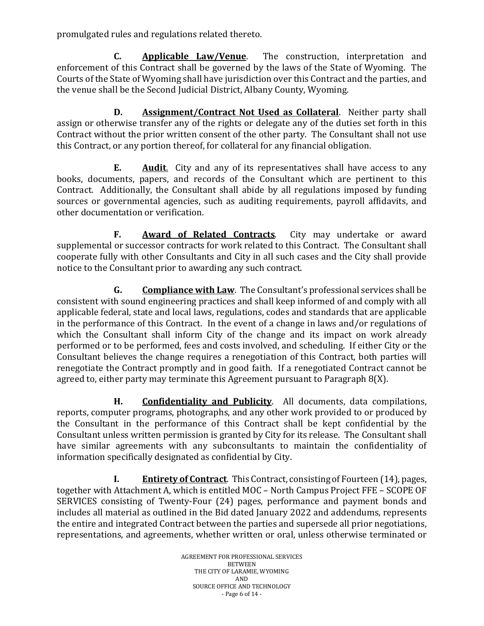promulgated rules and regulations related thereto.

**C. Applicable Law/Venue**. The construction, interpretation and enforcement of this Contract shall be governed by the laws of the State of Wyoming. The Courts of the State of Wyoming shall have jurisdiction over this Contract and the parties, and the venue shall be the Second Judicial District, Albany County, Wyoming.

**D. Assignment/Contract Not Used as Collateral**. Neither party shall assign or otherwise transfer any of the rights or delegate any of the duties set forth in this Contract without the prior written consent of the other party. The Consultant shall not use this Contract, or any portion thereof, for collateral for any financial obligation.

**E. Audit**. City and any of its representatives shall have access to any books, documents, papers, and records of the Consultant which are pertinent to this Contract. Additionally, the Consultant shall abide by all regulations imposed by funding sources or governmental agencies, such as auditing requirements, payroll affidavits, and other documentation or verification.

**F. Award of Related Contracts**. City may undertake or award supplemental or successor contracts for work related to this Contract. The Consultant shall cooperate fully with other Consultants and City in all such cases and the City shall provide notice to the Consultant prior to awarding any such contract.

**G. Compliance with Law**. The Consultant's professional services shall be consistent with sound engineering practices and shall keep informed of and comply with all applicable federal, state and local laws, regulations, codes and standards that are applicable in the performance of this Contract. In the event of a change in laws and/or regulations of which the Consultant shall inform City of the change and its impact on work already performed or to be performed, fees and costs involved, and scheduling. If either City or the Consultant believes the change requires a renegotiation of this Contract, both parties will renegotiate the Contract promptly and in good faith. If a renegotiated Contract cannot be agreed to, either party may terminate this Agreement pursuant to Paragraph 8(X).

**H. Confidentiality and Publicity**. All documents, data compilations, reports, computer programs, photographs, and any other work provided to or produced by the Consultant in the performance of this Contract shall be kept confidential by the Consultant unless written permission is granted by City for its release. The Consultant shall have similar agreements with any subconsultants to maintain the confidentiality of information specifically designated as confidential by City.

**I. Entirety of Contract**. This Contract, consisting of Fourteen (14), pages, together with Attachment A, which is entitled MOC – North Campus Project FFE – SCOPE OF SERVICES consisting of Twenty-Four (24) pages, performance and payment bonds and includes all material as outlined in the Bid dated January 2022 and addendums, represents the entire and integrated Contract between the parties and supersede all prior negotiations, representations, and agreements, whether written or oral, unless otherwise terminated or

> AGREEMENT FOR PROFESSIONAL SERVICES BETWEEN THE CITY OF LARAMIE, WYOMING AND SOURCE OFFICE AND TECHNOLOGY - Page 6 of 14 -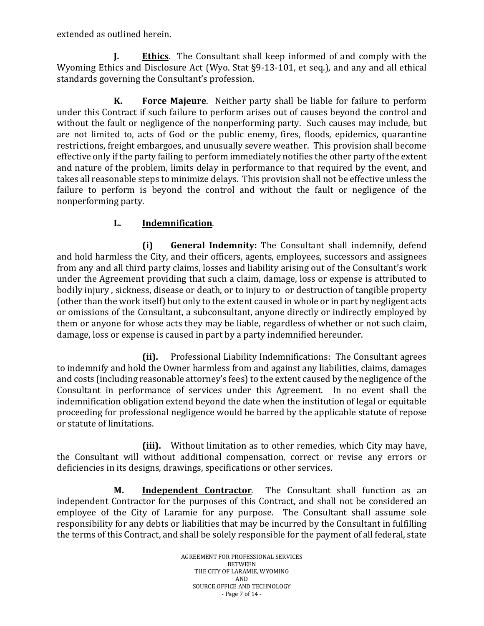extended as outlined herein.

**J. Ethics**. The Consultant shall keep informed of and comply with the Wyoming Ethics and Disclosure Act (Wyo. Stat §9-13-101, et seq.), and any and all ethical standards governing the Consultant's profession.

**K. Force Majeure**. Neither party shall be liable for failure to perform under this Contract if such failure to perform arises out of causes beyond the control and without the fault or negligence of the nonperforming party. Such causes may include, but are not limited to, acts of God or the public enemy, fires, floods, epidemics, quarantine restrictions, freight embargoes, and unusually severe weather. This provision shall become effective only if the party failing to perform immediately notifies the other party of the extent and nature of the problem, limits delay in performance to that required by the event, and takes all reasonable steps to minimize delays. This provision shall not be effective unless the failure to perform is beyond the control and without the fault or negligence of the nonperforming party.

## **L. Indemnification**.

**(i) General Indemnity:** The Consultant shall indemnify, defend and hold harmless the City, and their officers, agents, employees, successors and assignees from any and all third party claims, losses and liability arising out of the Consultant's work under the Agreement providing that such a claim, damage, loss or expense is attributed to bodily injury , sickness, disease or death, or to injury to or destruction of tangible property (other than the work itself) but only to the extent caused in whole or in part by negligent acts or omissions of the Consultant, a subconsultant, anyone directly or indirectly employed by them or anyone for whose acts they may be liable, regardless of whether or not such claim, damage, loss or expense is caused in part by a party indemnified hereunder.

**(ii).** Professional Liability Indemnifications: The Consultant agrees to indemnify and hold the Owner harmless from and against any liabilities, claims, damages and costs (including reasonable attorney's fees) to the extent caused by the negligence of the Consultant in performance of services under this Agreement. In no event shall the indemnification obligation extend beyond the date when the institution of legal or equitable proceeding for professional negligence would be barred by the applicable statute of repose or statute of limitations.

**(iii).** Without limitation as to other remedies, which City may have, the Consultant will without additional compensation, correct or revise any errors or deficiencies in its designs, drawings, specifications or other services.

**M. Independent Contractor**. The Consultant shall function as an independent Contractor for the purposes of this Contract, and shall not be considered an employee of the City of Laramie for any purpose. The Consultant shall assume sole responsibility for any debts or liabilities that may be incurred by the Consultant in fulfilling the terms of this Contract, and shall be solely responsible for the payment of all federal, state

> AGREEMENT FOR PROFESSIONAL SERVICES **BETWEEN** THE CITY OF LARAMIE, WYOMING AND SOURCE OFFICE AND TECHNOLOGY - Page 7 of 14 -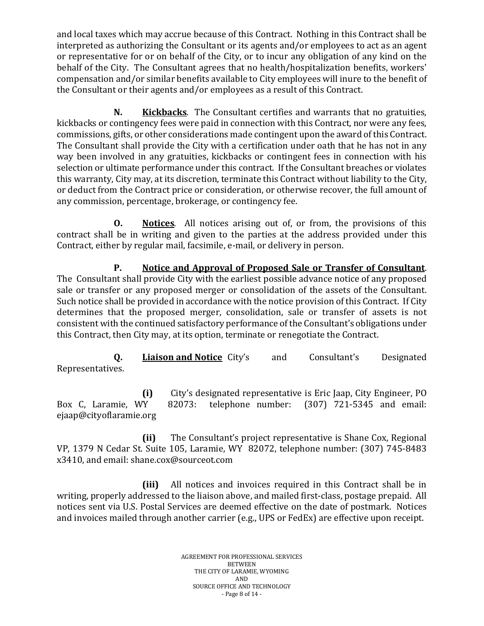and local taxes which may accrue because of this Contract. Nothing in this Contract shall be interpreted as authorizing the Consultant or its agents and/or employees to act as an agent or representative for or on behalf of the City, or to incur any obligation of any kind on the behalf of the City. The Consultant agrees that no health/hospitalization benefits, workers' compensation and/or similar benefits available to City employees will inure to the benefit of the Consultant or their agents and/or employees as a result of this Contract.

**N. Kickbacks**. The Consultant certifies and warrants that no gratuities, kickbacks or contingency fees were paid in connection with this Contract, nor were any fees, commissions, gifts, or other considerations made contingent upon the award of this Contract. The Consultant shall provide the City with a certification under oath that he has not in any way been involved in any gratuities, kickbacks or contingent fees in connection with his selection or ultimate performance under this contract. If the Consultant breaches or violates this warranty, City may, at its discretion, terminate this Contract without liability to the City, or deduct from the Contract price or consideration, or otherwise recover, the full amount of any commission, percentage, brokerage, or contingency fee.

**O. Notices**. All notices arising out of, or from, the provisions of this contract shall be in writing and given to the parties at the address provided under this Contract, either by regular mail, facsimile, e-mail, or delivery in person.

**P. Notice and Approval of Proposed Sale or Transfer of Consultant**. The Consultant shall provide City with the earliest possible advance notice of any proposed sale or transfer or any proposed merger or consolidation of the assets of the Consultant. Such notice shall be provided in accordance with the notice provision of this Contract. If City determines that the proposed merger, consolidation, sale or transfer of assets is not consistent with the continued satisfactory performance of the Consultant's obligations under this Contract, then City may, at its option, terminate or renegotiate the Contract.

**Q. Liaison and Notice** City's and Consultant's Designated Representatives.

**(i)** City's designated representative is Eric Jaap, City Engineer, PO<br>Box C, Laramie, WY 82073: telephone number: (307) 721-5345 and email: telephone number:  $(307)$  721-5345 and email: ejaap@cityoflaramie.org

**(ii)** The Consultant's project representative is Shane Cox, Regional VP, 1379 N Cedar St. Suite 105, Laramie, WY 82072, telephone number: (307) 745-8483 x3410, and email: shane.cox@sourceot.com

**(iii)** All notices and invoices required in this Contract shall be in writing, properly addressed to the liaison above, and mailed first-class, postage prepaid. All notices sent via U.S. Postal Services are deemed effective on the date of postmark. Notices and invoices mailed through another carrier (e.g., UPS or FedEx) are effective upon receipt.

> AGREEMENT FOR PROFESSIONAL SERVICES BETWEEN THE CITY OF LARAMIE, WYOMING AND SOURCE OFFICE AND TECHNOLOGY - Page 8 of 14 -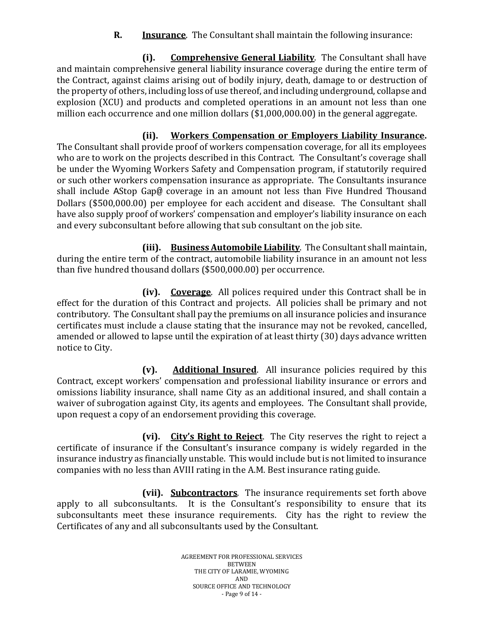**R. Insurance**. The Consultant shall maintain the following insurance:

**(i). Comprehensive General Liability**. The Consultant shall have and maintain comprehensive general liability insurance coverage during the entire term of the Contract, against claims arising out of bodily injury, death, damage to or destruction of the property of others, including loss of use thereof, and including underground, collapse and explosion (XCU) and products and completed operations in an amount not less than one million each occurrence and one million dollars (\$1,000,000.00) in the general aggregate.

**(ii). Workers Compensation or Employers Liability Insurance.** The Consultant shall provide proof of workers compensation coverage, for all its employees who are to work on the projects described in this Contract. The Consultant's coverage shall be under the Wyoming Workers Safety and Compensation program, if statutorily required or such other workers compensation insurance as appropriate. The Consultants insurance shall include AStop Gap@ coverage in an amount not less than Five Hundred Thousand Dollars (\$500,000.00) per employee for each accident and disease. The Consultant shall have also supply proof of workers' compensation and employer's liability insurance on each and every subconsultant before allowing that sub consultant on the job site.

**(iii). Business Automobile Liability**. The Consultant shall maintain, during the entire term of the contract, automobile liability insurance in an amount not less than five hundred thousand dollars (\$500,000.00) per occurrence.

**(iv). Coverage**. All polices required under this Contract shall be in effect for the duration of this Contract and projects. All policies shall be primary and not contributory. The Consultant shall pay the premiums on all insurance policies and insurance certificates must include a clause stating that the insurance may not be revoked, cancelled, amended or allowed to lapse until the expiration of at least thirty (30) days advance written notice to City.

**(v). Additional Insured**. All insurance policies required by this Contract, except workers' compensation and professional liability insurance or errors and omissions liability insurance, shall name City as an additional insured, and shall contain a waiver of subrogation against City, its agents and employees. The Consultant shall provide, upon request a copy of an endorsement providing this coverage.

**(vi). City's Right to Reject**. The City reserves the right to reject a certificate of insurance if the Consultant's insurance company is widely regarded in the insurance industry as financially unstable. This would include but is not limited to insurance companies with no less than AVIII rating in the A.M. Best insurance rating guide.

**(vii). Subcontractors**. The insurance requirements set forth above apply to all subconsultants. It is the Consultant's responsibility to ensure that its subconsultants meet these insurance requirements. City has the right to review the Certificates of any and all subconsultants used by the Consultant.

> AGREEMENT FOR PROFESSIONAL SERVICES **BETWEEN** THE CITY OF LARAMIE, WYOMING AND SOURCE OFFICE AND TECHNOLOGY - Page 9 of 14 -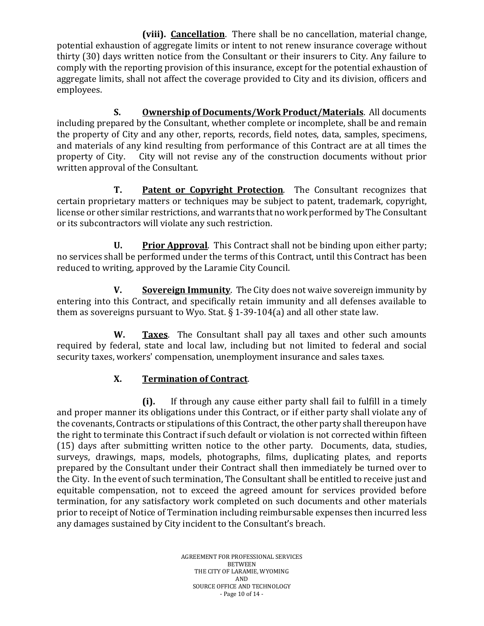**(viii). Cancellation**. There shall be no cancellation, material change, potential exhaustion of aggregate limits or intent to not renew insurance coverage without thirty (30) days written notice from the Consultant or their insurers to City. Any failure to comply with the reporting provision of this insurance, except for the potential exhaustion of aggregate limits, shall not affect the coverage provided to City and its division, officers and employees.

**S. Ownership of Documents/Work Product/Materials**. All documents including prepared by the Consultant, whether complete or incomplete, shall be and remain the property of City and any other, reports, records, field notes, data, samples, specimens, and materials of any kind resulting from performance of this Contract are at all times the property of City. City will not revise any of the construction documents without prior City will not revise any of the construction documents without prior written approval of the Consultant.

**T. Patent or Copyright Protection**. The Consultant recognizes that certain proprietary matters or techniques may be subject to patent, trademark, copyright, license or other similar restrictions, and warrants that no work performed by The Consultant or its subcontractors will violate any such restriction.

**U. Prior Approval**. This Contract shall not be binding upon either party; no services shall be performed under the terms of this Contract, until this Contract has been reduced to writing, approved by the Laramie City Council.

**V. Sovereign Immunity**. The City does not waive sovereign immunity by entering into this Contract, and specifically retain immunity and all defenses available to them as sovereigns pursuant to Wyo. Stat. § 1-39-104(a) and all other state law.

**W. Taxes**. The Consultant shall pay all taxes and other such amounts required by federal, state and local law, including but not limited to federal and social security taxes, workers' compensation, unemployment insurance and sales taxes.

# **X. Termination of Contract**.

**(i).** If through any cause either party shall fail to fulfill in a timely and proper manner its obligations under this Contract, or if either party shall violate any of the covenants, Contracts or stipulations of this Contract, the other party shall thereupon have the right to terminate this Contract if such default or violation is not corrected within fifteen (15) days after submitting written notice to the other party. Documents, data, studies, surveys, drawings, maps, models, photographs, films, duplicating plates, and reports prepared by the Consultant under their Contract shall then immediately be turned over to the City. In the event of such termination, The Consultant shall be entitled to receive just and equitable compensation, not to exceed the agreed amount for services provided before termination, for any satisfactory work completed on such documents and other materials prior to receipt of Notice of Termination including reimbursable expenses then incurred less any damages sustained by City incident to the Consultant's breach.

> AGREEMENT FOR PROFESSIONAL SERVICES BETWEEN THE CITY OF LARAMIE, WYOMING AND SOURCE OFFICE AND TECHNOLOGY - Page 10 of 14 -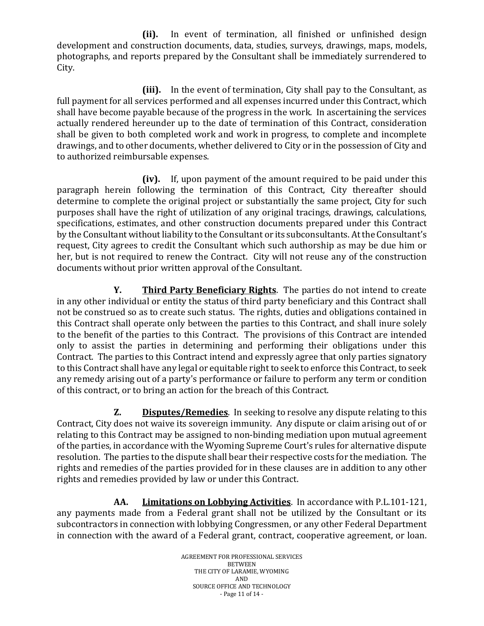**(ii).** In event of termination, all finished or unfinished design development and construction documents, data, studies, surveys, drawings, maps, models, photographs, and reports prepared by the Consultant shall be immediately surrendered to City.

**(iii).** In the event of termination, City shall pay to the Consultant, as full payment for all services performed and all expenses incurred under this Contract, which shall have become payable because of the progress in the work. In ascertaining the services actually rendered hereunder up to the date of termination of this Contract, consideration shall be given to both completed work and work in progress, to complete and incomplete drawings, and to other documents, whether delivered to City or in the possession of City and to authorized reimbursable expenses.

**(iv).** If, upon payment of the amount required to be paid under this paragraph herein following the termination of this Contract, City thereafter should determine to complete the original project or substantially the same project, City for such purposes shall have the right of utilization of any original tracings, drawings, calculations, specifications, estimates, and other construction documents prepared under this Contract by the Consultant without liability to the Consultant or its subconsultants. At the Consultant's request, City agrees to credit the Consultant which such authorship as may be due him or her, but is not required to renew the Contract. City will not reuse any of the construction documents without prior written approval of the Consultant.

**Y. Third Party Beneficiary Rights**. The parties do not intend to create in any other individual or entity the status of third party beneficiary and this Contract shall not be construed so as to create such status. The rights, duties and obligations contained in this Contract shall operate only between the parties to this Contract, and shall inure solely to the benefit of the parties to this Contract. The provisions of this Contract are intended only to assist the parties in determining and performing their obligations under this Contract. The parties to this Contract intend and expressly agree that only parties signatory to this Contract shall have any legal or equitable right to seek to enforce this Contract, to seek any remedy arising out of a party's performance or failure to perform any term or condition of this contract, or to bring an action for the breach of this Contract.

**Z. Disputes/Remedies**. In seeking to resolve any dispute relating to this Contract, City does not waive its sovereign immunity. Any dispute or claim arising out of or relating to this Contract may be assigned to non-binding mediation upon mutual agreement of the parties, in accordance with the Wyoming Supreme Court's rules for alternative dispute resolution. The parties to the dispute shall bear their respective costs for the mediation. The rights and remedies of the parties provided for in these clauses are in addition to any other rights and remedies provided by law or under this Contract.

**AA. Limitations on Lobbying Activities**. In accordance with P.L.101-121, any payments made from a Federal grant shall not be utilized by the Consultant or its subcontractors in connection with lobbying Congressmen, or any other Federal Department in connection with the award of a Federal grant, contract, cooperative agreement, or loan.

> AGREEMENT FOR PROFESSIONAL SERVICES BETWEEN THE CITY OF LARAMIE, WYOMING AND SOURCE OFFICE AND TECHNOLOGY - Page 11 of 14 -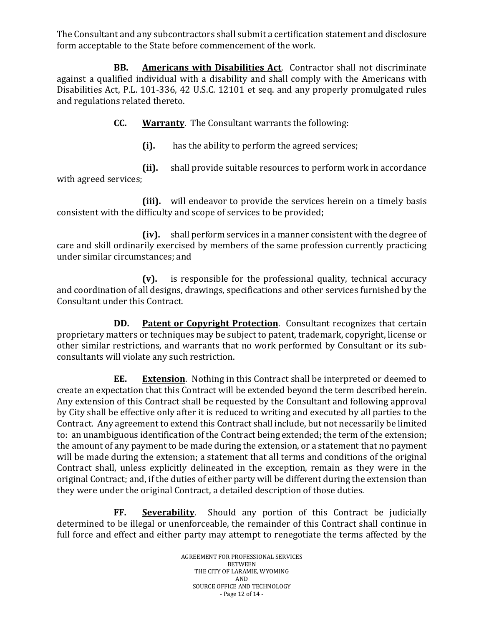The Consultant and any subcontractors shall submit a certification statement and disclosure form acceptable to the State before commencement of the work.

 **BB. Americans with Disabilities Act**. Contractor shall not discriminate against a qualified individual with a disability and shall comply with the Americans with Disabilities Act, P.L. 101-336, 42 U.S.C. 12101 et seq. and any properly promulgated rules and regulations related thereto.

**CC. Warranty**. The Consultant warrants the following:

**(i).** has the ability to perform the agreed services;

**(ii).** shall provide suitable resources to perform work in accordance with agreed services;

**(iii).** will endeavor to provide the services herein on a timely basis consistent with the difficulty and scope of services to be provided;

**(iv).** shall perform services in a manner consistent with the degree of care and skill ordinarily exercised by members of the same profession currently practicing under similar circumstances; and

**(v).** is responsible for the professional quality, technical accuracy and coordination of all designs, drawings, specifications and other services furnished by the Consultant under this Contract.

**DD. Patent or Copyright Protection**. Consultant recognizes that certain proprietary matters or techniques may be subject to patent, trademark, copyright, license or other similar restrictions, and warrants that no work performed by Consultant or its subconsultants will violate any such restriction.

**EE. Extension**. Nothing in this Contract shall be interpreted or deemed to create an expectation that this Contract will be extended beyond the term described herein. Any extension of this Contract shall be requested by the Consultant and following approval by City shall be effective only after it is reduced to writing and executed by all parties to the Contract. Any agreement to extend this Contract shall include, but not necessarily be limited to: an unambiguous identification of the Contract being extended; the term of the extension; the amount of any payment to be made during the extension, or a statement that no payment will be made during the extension; a statement that all terms and conditions of the original Contract shall, unless explicitly delineated in the exception, remain as they were in the original Contract; and, if the duties of either party will be different during the extension than they were under the original Contract, a detailed description of those duties.

**FF. Severability**. Should any portion of this Contract be judicially determined to be illegal or unenforceable, the remainder of this Contract shall continue in full force and effect and either party may attempt to renegotiate the terms affected by the

> AGREEMENT FOR PROFESSIONAL SERVICES BETWEEN THE CITY OF LARAMIE, WYOMING AND SOURCE OFFICE AND TECHNOLOGY - Page 12 of 14 -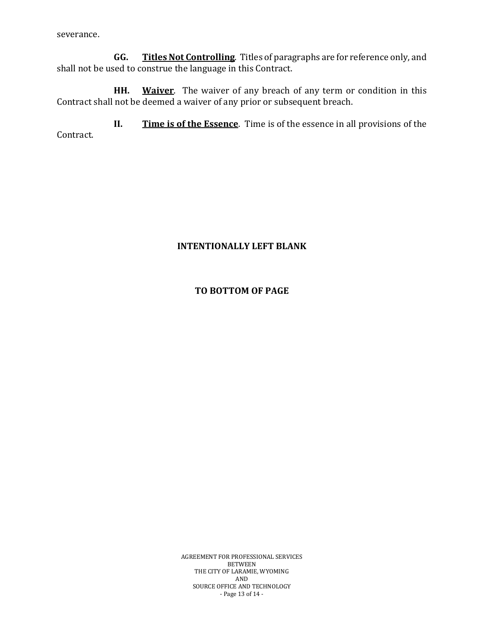severance.

**GG. Titles Not Controlling**. Titles of paragraphs are for reference only, and shall not be used to construe the language in this Contract.

**HH. Waiver**. The waiver of any breach of any term or condition in this Contract shall not be deemed a waiver of any prior or subsequent breach.

**II. Time is of the Essence**. Time is of the essence in all provisions of the Contract.

#### **INTENTIONALLY LEFT BLANK**

#### **TO BOTTOM OF PAGE**

AGREEMENT FOR PROFESSIONAL SERVICES BETWEEN THE CITY OF LARAMIE, WYOMING AND SOURCE OFFICE AND TECHNOLOGY - Page 13 of 14 -